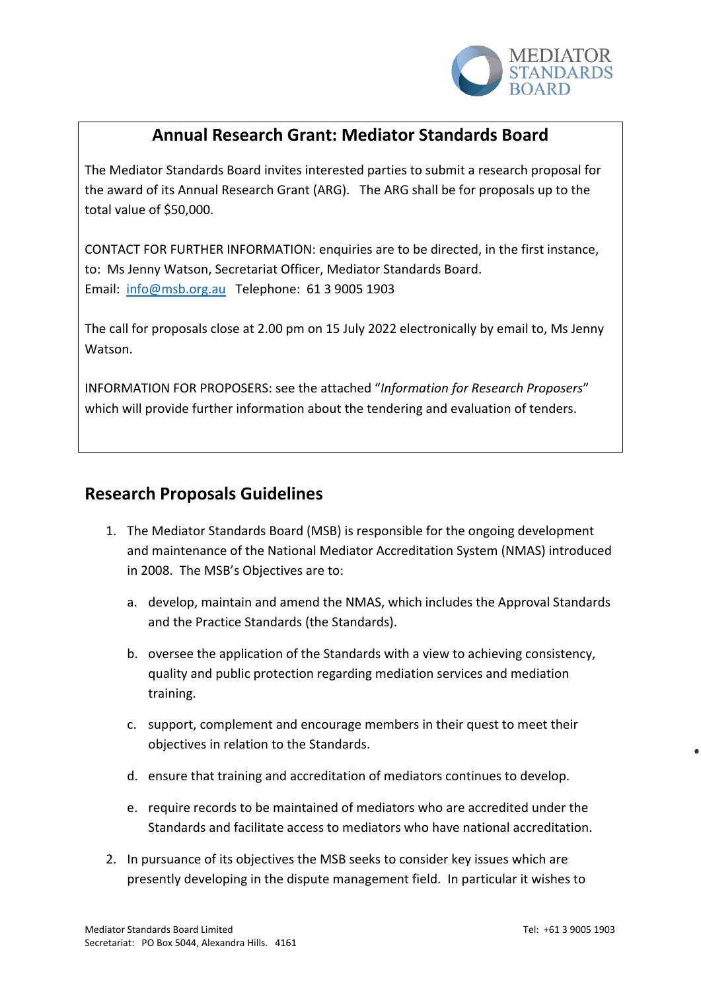

## **Annual Research Grant: Mediator Standards Board**

The Mediator Standards Board invites interested parties to submit a research proposal for the award of its Annual Research Grant (ARG). The ARG shall be for proposals up to the total value of \$50,000.

CONTACT FOR FURTHER INFORMATION: enquiries are to be directed, in the first instance, to: Ms Jenny Watson, Secretariat Officer, Mediator Standards Board. Email: [info@msb.org.au](mailto:info@msb.org.au) Telephone: 61 3 9005 1903

The call for proposals close at 2.00 pm on 15 July 2022 electronically by email to, Ms Jenny Watson.

INFORMATION FOR PROPOSERS: see the attached "*Information for Research Proposers*" which will provide further information about the tendering and evaluation of tenders.

## **Research Proposals Guidelines**

- 1. The Mediator Standards Board (MSB) is responsible for the ongoing development and maintenance of the National Mediator Accreditation System (NMAS) introduced in 2008. The MSB's Objectives are to:
	- a. develop, maintain and amend the NMAS, which includes the Approval Standards and the Practice Standards (the Standards).
	- b. oversee the application of the Standards with a view to achieving consistency, quality and public protection regarding mediation services and mediation training.
	- c. support, complement and encourage members in their quest to meet their objectives in relation to the Standards.
	- d. ensure that training and accreditation of mediators continues to develop.
	- e. require records to be maintained of mediators who are accredited under the Standards and facilitate access to mediators who have national accreditation.
- 2. In pursuance of its objectives the MSB seeks to consider key issues which are presently developing in the dispute management field. In particular it wishes to